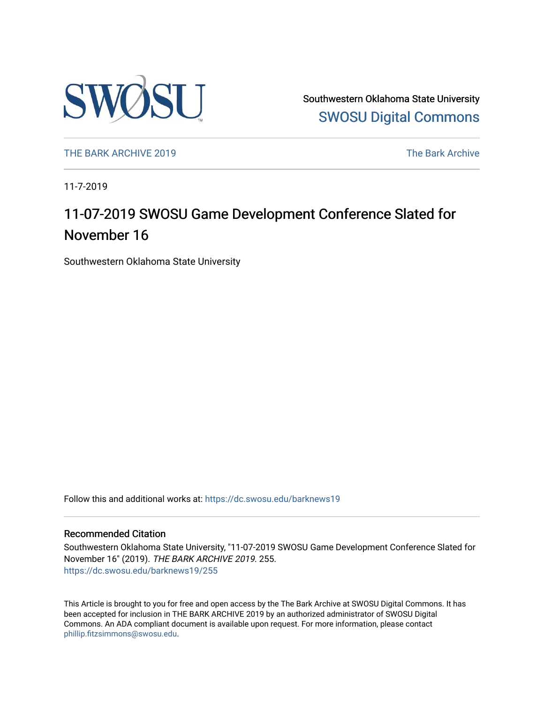

Southwestern Oklahoma State University [SWOSU Digital Commons](https://dc.swosu.edu/) 

[THE BARK ARCHIVE 2019](https://dc.swosu.edu/barknews19) The Bark Archive

11-7-2019

## 11-07-2019 SWOSU Game Development Conference Slated for November 16

Southwestern Oklahoma State University

Follow this and additional works at: [https://dc.swosu.edu/barknews19](https://dc.swosu.edu/barknews19?utm_source=dc.swosu.edu%2Fbarknews19%2F255&utm_medium=PDF&utm_campaign=PDFCoverPages)

#### Recommended Citation

Southwestern Oklahoma State University, "11-07-2019 SWOSU Game Development Conference Slated for November 16" (2019). THE BARK ARCHIVE 2019. 255. [https://dc.swosu.edu/barknews19/255](https://dc.swosu.edu/barknews19/255?utm_source=dc.swosu.edu%2Fbarknews19%2F255&utm_medium=PDF&utm_campaign=PDFCoverPages)

This Article is brought to you for free and open access by the The Bark Archive at SWOSU Digital Commons. It has been accepted for inclusion in THE BARK ARCHIVE 2019 by an authorized administrator of SWOSU Digital Commons. An ADA compliant document is available upon request. For more information, please contact [phillip.fitzsimmons@swosu.edu](mailto:phillip.fitzsimmons@swosu.edu).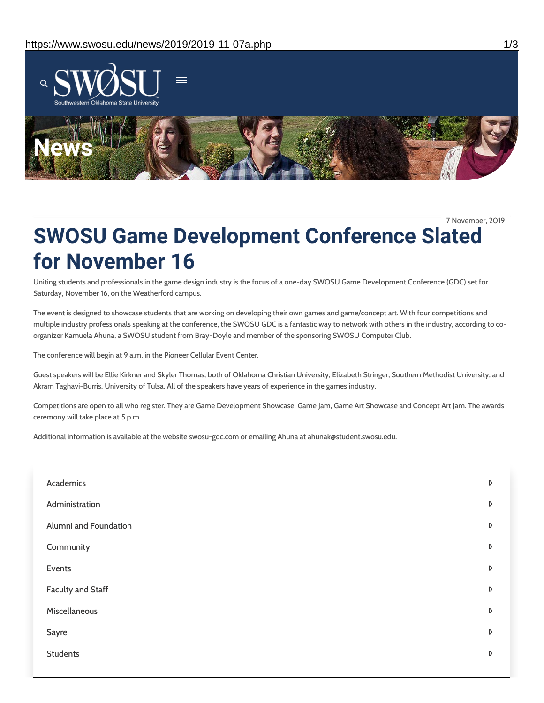

7 November, 2019

# **SWOSU Game Development Conference Slated for November 16**

Uniting students and professionals in the game design industry is the focus of a one-day SWOSU Game Development Conference (GDC) set for Saturday, November 16, on the Weatherford campus.

The event is designed to showcase students that are working on developing their own games and game/concept art. With four competitions and multiple industry professionals speaking at the conference, the SWOSU GDC is a fantastic way to network with others in the industry, according to coorganizer Kamuela Ahuna, a SWOSU student from Bray-Doyle and member of the sponsoring SWOSU Computer Club.

The conference will begin at 9 a.m. in the Pioneer Cellular Event Center.

Guest speakers will be Ellie Kirkner and Skyler Thomas, both of Oklahoma Christian University; Elizabeth Stringer, Southern Methodist University; and Akram Taghavi-Burris, University of Tulsa. All of the speakers have years of experience in the games industry.

Competitions are open to all who register. They are Game Development Showcase, Game Jam, Game Art Showcase and Concept Art Jam. The awards ceremony will take place at 5 p.m.

Additional information is available at the website swosu-gdc.com or emailing Ahuna at ahunak@student.swosu.edu.

| Academics                | D                |
|--------------------------|------------------|
| Administration           | $\triangleright$ |
| Alumni and Foundation    | $\triangleright$ |
| Community                | D                |
| Events                   | D                |
| <b>Faculty and Staff</b> | D                |
| Miscellaneous            | D                |
| Sayre                    | D                |
| <b>Students</b>          | D                |
|                          |                  |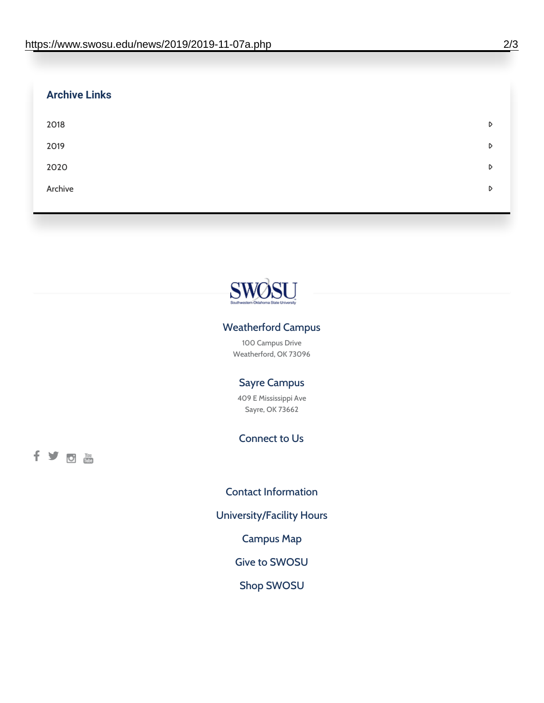| <b>Archive Links</b> |   |
|----------------------|---|
| 2018                 | D |
| 2019                 | D |
| 2020                 | D |
| Archive              | D |
|                      |   |



### Weatherford Campus

100 Campus Drive Weatherford, OK 73096

### Sayre Campus

409 E Mississippi Ave Sayre, OK 73662

#### Connect to Us

fyothe

#### Contact [Information](https://www.swosu.edu/about/contact.php)

[University/Facility](https://www.swosu.edu/about/operating-hours.php) Hours

[Campus](https://map.concept3d.com/?id=768#!ct/10964,10214,10213,10212,10205,10204,10203,10202,10136,10129,10128,0,31226,10130,10201,10641,0) Map

Give to [SWOSU](https://standingfirmly.com/donate)

Shop [SWOSU](https://shopswosu.merchorders.com/)